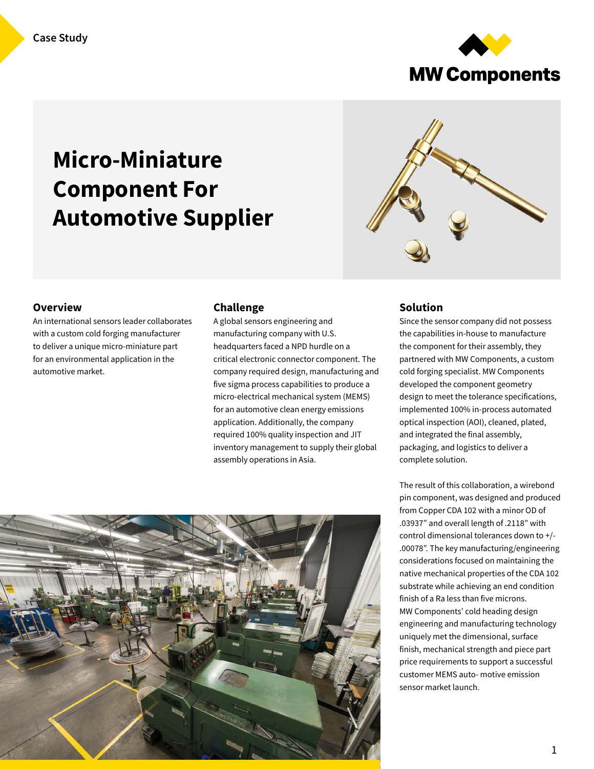

# Micro-Miniature Component For Automotive Supplier



#### **Overview**

An international sensors leader collaborates with a custom cold forging manufacturer to deliver a unique micro-miniature part for an environmental application in the automotive market.

#### Challenge

A global sensors engineering and manufacturing company with U.S. headquarters faced a NPD hurdle on a critical electronic connector component. The company required design, manufacturing and five sigma process capabilities to produce a micro-electrical mechanical system (MEMS) for an automotive clean energy emissions application. Additionally, the company required 100% quality inspection and JIT inventory management to supply their global assembly operations in Asia.



#### Solution

Since the sensor company did not possess the capabilities in-house to manufacture the component for their assembly, they partnered with MW Components, a custom cold forging specialist. MW Components developed the component geometry design to meet the tolerance specifications, implemented 100% in-process automated optical inspection (AOI), cleaned, plated, and integrated the final assembly, packaging, and logistics to deliver a complete solution.

The result of this collaboration, a wirebond pin component, was designed and produced from Copper CDA 102 with a minor OD of .03937" and overall length of .2118" with control dimensional tolerances down to +/- .00078". The key manufacturing/engineering considerations focused on maintaining the native mechanical properties of the CDA 102 substrate while achieving an end condition finish of a Ra less than five microns. MW Components' cold heading design engineering and manufacturing technology uniquely met the dimensional, surface finish, mechanical strength and piece part price requirements to support a successful customer MEMS auto- motive emission sensor market launch.